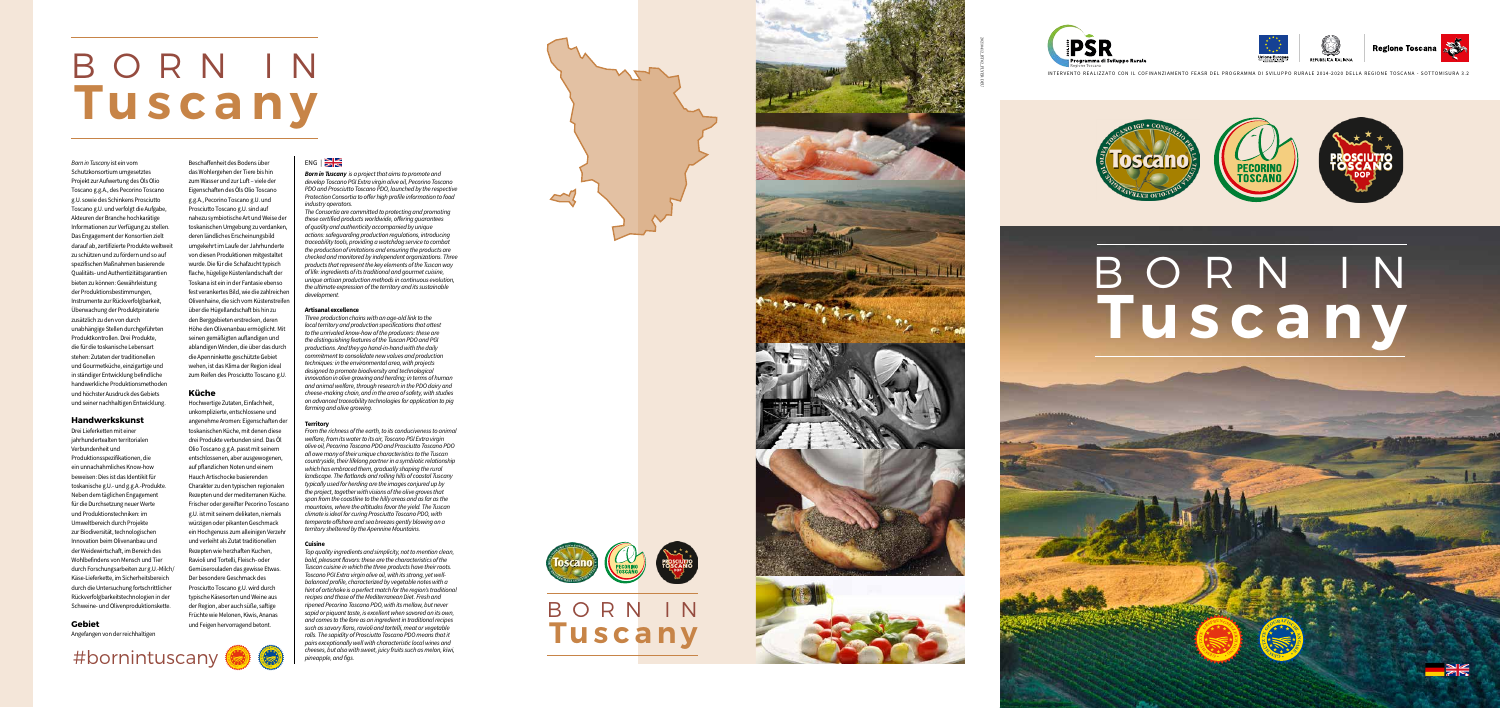INTERVENTO REALIZZATO CON IL COFINANZIAMENTO FEASR DEL PROGRAMMA DI SVILUPPO RURALE 2014-2020 DELLA REGIONE TOSCANA - SOTTOMISURA 3.2



# **Tuscany** BORN IN



20210412\_BT02\_FLYER DEU



*Born in Tuscany* ist ein vom Schutzkonsortium umgesetztes Projekt zur Aufwertung des Öls Olio Toscano g.g.A., des Pecorino Toscano g.U. sowie des Schinkens Prosciutto Toscano g.U. und verfolgt die Aufgabe, Akteuren der Branche hochkarätige Informationen zur Verfügung zu stellen. Das Engagement der Konsortien zielt darauf ab, zertifizierte Produkte weltweit zu schützen und zu fördern und so auf spezifischen Maßnahmen basierende Qualitäts- und Authentizitätsgarantien bieten zu können: Gewährleistung der Produktionsbestimmungen, Instrumente zur Rückverfolgbarkeit, Überwachung der Produktpiraterie zusätzlich zu den von durch unabhängige Stellen durchgeführten Produktkontrollen. Drei Produkte, die für die toskanische Lebensart stehen: Zutaten der traditionellen und Gourmetküche, einzigartige und in ständiger Entwicklung befindliche handwerkliche Produktionsmethoden und höchster Ausdruck des Gebiets und seiner nachhaltigen Entwicklung.

# **Handwerkskunst**

Drei Lieferketten mit einer jahrhundertealten territorialen Verbundenheit und Produktionsspezifikationen, die ein unnachahmliches Know-how beweisen: Dies ist das Identikit für toskanische g.U.- und g.g.A.-Produkte. Neben dem täglichen Engagement für die Durchsetzung neuer Werte und Produktionstechniken: im Umweltbereich durch Projekte zur Biodiversität, technologischen Innovation beim Olivenanbau und der Weidewirtschaft, im Bereich des Wohlbefindens von Mensch und Tier durch Forschungsarbeiten zur g.U.-Milch/ Käse-Lieferkette, im Sicherheitsbereich durch die Untersuchung fortschrittlicher Rückverfolgbarkeitstechnologien in der Schweine- und Olivenproduktionskette.

# **Gebiet**

Angefangen von der reichhaltigen



# **Küche**

Hochwertige Zutaten, Einfachheit, unkomplizierte, entschlossene und angenehme Aromen: Eigenschaften der toskanischen Küche, mit denen diese drei Produkte verbunden sind. Das Öl Olio Toscano g.g.A. passt mit seinem entschlossenen, aber ausgewogenen, auf pflanzlichen Noten und einem Hauch Artischocke basierenden Charakter zu den typischen regionalen Rezepten und der mediterranen Küche. Frischer oder gereifter Pecorino Toscano g.U. ist mit seinem delikaten, niemals würzigen oder pikanten Geschmack ein Hochgenuss zum alleinigen Verzehr und verleiht als Zutat traditionellen Rezepten wie herzhaften Kuchen, Ravioli und Tortelli, Fleisch- oder Gemüserouladen das gewisse Etwas. Der besondere Geschmack des Prosciutto Toscano g.U. wird durch typische Käsesorten und Weine aus der Region, aber auch süße, saftige Früchte wie Melonen, Kiwis, Ananas und Feigen hervorragend betont.

# $ENG$  |

*Born in Tuscany is a project that aims to promote and develop Toscano PGI Extra virgin olive oil, Pecorino Toscano PDO and Prosciutto Toscano PDO, launched by the respective Protection Consortia to offer high profile information to food industry operators.* 

*The Consortia are committed to protecting and promoting these certified products worldwide, offering guarantees of quality and authenticity accompanied by unique actions: safeguarding production regulations, introducing traceability tools, providing a watchdog service to combat the production of imitations and ensuring the products are checked and monitored by independent organizations. Three products that represent the key elements of the Tuscan way of life: ingredients of its traditional and gourmet cuisine, unique artisan production methods in continuous evolution, the ultimate expression of the territory and its sustainable development.* 

# **Artisanal excellence**

*Three production chains with an age-old link to the local territory and production specifications that attest to the unrivaled know-how of the producers: these are the distinguishing features of the Tuscan PDO and PGI productions. And they go hand-in-hand with the daily commitment to consolidate new values and production techniques: in the environmental area, with projects designed to promote biodiversity and technological innovation in olive growing and herding; in terms of human and animal welfare, through research in the PDO dairy and cheese-making chain, and in the area of safety, with studies on advanced traceability technologies for application to pig farming and olive growing.* 

## **Territory**

*From the richness of the earth, to its conduciveness to animal welfare, from its water to its air, Toscano PGI Extra virgin olive oil, Pecorino Toscano PDO and Prosciutto Toscano PDO all owe many of their unique characteristics to the Tuscan countryside, their lifelong partner in a symbiotic relationship which has embraced them, gradually shaping the rural landscape. The flatlands and rolling hills of coastal Tuscany typically used for herding are the images conjured up by the project, together with visions of the olive groves that span from the coastline to the hilly areas and as far as the mountains, where the altitudes favor the yield. The Tuscan climate is ideal for curing Prosciutto Toscano PDO, with temperate offshore and sea breezes gently blowing on a territory sheltered by the Apennine Mountains.* 

## **Cuisine**

*Top quality ingredients and simplicity, not to mention clean, bold, pleasant flavors: these are the characteristics of the Tuscan cuisine in which the three products have their roots. Toscano PGI Extra virgin olive oil, with its strong, yet wellbalanced profile, characterized by vegetable notes with a hint of artichoke is a perfect match for the region's traditional recipes and those of the Mediterranean Diet. Fresh and ripened Pecorino Toscano PDO, with its mellow, but never sapid or piquant taste, is excellent when savored on its own, and comes to the fore as an ingredient in traditional recipes such as savory flans, ravioli and tortelli, meat or vegetable rolls. The sapidity of Prosciutto Toscano PDO means that it pairs exceptionally well with characteristic local wines and* 





# **Tuscany** BORN IN